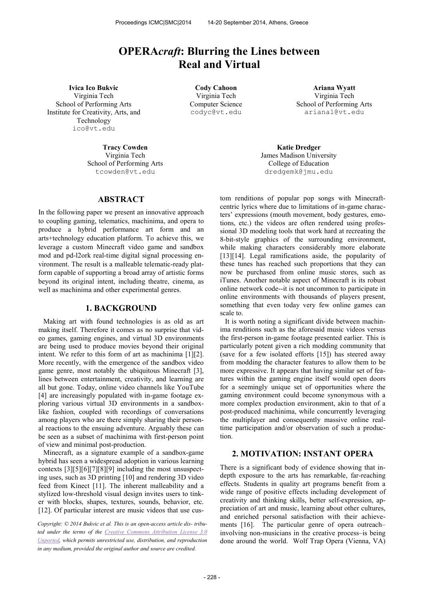# **OPERA***craft***: Blurring the Lines between Real and Virtual**

**Ivica Ico Bukvic Cody Cahoon Ariana Wyatt** Virginia Tech School of Performing Arts Institute for Creativity, Arts, and Technology [ico@vt.edu](mailto:ico@vt.edu)

> **Tracy Cowden** Virginia Tech School of Performing Arts [tcowden@vt.edu](mailto:tcowden@vt.edu)

## **ABSTRACT**

In the following paper we present an innovative approach to coupling gaming, telematics, machinima, and opera to produce a hybrid performance art form and an arts+technology education platform. To achieve this, we leverage a custom Minecraft video game and sandbox mod and pd-l2ork real-time digital signal processing environment. The result is a malleable telematic-ready platform capable of supporting a broad array of artistic forms beyond its original intent, including theatre, cinema, as well as machinima and other experimental genres.

## **1. BACKGROUND**

Making art with found technologies is as old as art making itself. Therefore it comes as no surprise that video games, gaming engines, and virtual 3D environments are being used to produce movies beyond their original intent. We refer to this form of art as machinima [1][2]. More recently, with the emergence of the sandbox video game genre, most notably the ubiquitous Minecraft [3], lines between entertainment, creativity, and learning are all but gone. Today, online video channels like YouTube [4] are increasingly populated with in-game footage exploring various virtual 3D environments in a sandboxlike fashion, coupled with recordings of conversations among players who are there simply sharing their personal reactions to the ensuing adventure. Arguably these can be seen as a subset of machinima with first-person point of view and minimal post-production.

Minecraft, as a signature example of a sandbox-game hybrid has seen a widespread adoption in various learning contexts [3][5][6][7][8][9] including the most unsuspecting uses, such as 3D printing [10] and rendering 3D video feed from Kinect [11]. The inherent malleability and a stylized low-threshold visual design invites users to tinker with blocks, shapes, textures, sounds, behavior, etc. [12]. Of particular interest are music videos that use cus-

*Copyright: © 2014 Bukvic et al. This is an open-access article dis- tributed under the terms of the [Creative Commons Attribution License 3.0](http://creativecommons.org/licenses/by/3.0/)  [Unported,](http://creativecommons.org/licenses/by/3.0/) which permits unrestricted use, distribution, and reproduction in any medium, provided the original author and source are credited.*

Virginia Tech Computer Science [codyc@vt.edu](mailto:codyc@vt.edu)

Virginia Tech School of Performing Arts [ariana1@vt.edu](mailto:ariana1@vt.edu)

**Katie Dredger** James Madison University College of Education dredgemk@jmu.edu

tom renditions of popular pop songs with Minecraftcentric lyrics where due to limitations of in-game characters' expressions (mouth movement, body gestures, emotions, etc.) the videos are often rendered using professional 3D modeling tools that work hard at recreating the 8-bit-style graphics of the surrounding environment, while making characters considerably more elaborate [13][14]. Legal ramifications aside, the popularity of these tunes has reached such proportions that they can now be purchased from online music stores, such as iTunes. Another notable aspect of Minecraft is its robust online network code--it is not uncommon to participate in online environments with thousands of players present, something that even today very few online games can scale to.

It is worth noting a significant divide between machinima renditions such as the aforesaid music videos versus the first-person in-game footage presented earlier. This is particularly potent given a rich modding community that (save for a few isolated efforts [15]) has steered away from modding the character features to allow them to be more expressive. It appears that having similar set of features within the gaming engine itself would open doors for a seemingly unique set of opportunities where the gaming environment could become synonymous with a more complex production environment, akin to that of a post-produced machinima, while concurrently leveraging the multiplayer and consequently massive online realtime participation and/or observation of such a production.

#### **2. MOTIVATION: INSTANT OPERA**

There is a significant body of evidence showing that indepth exposure to the arts has remarkable, far-reaching effects. Students in quality art programs benefit from a wide range of positive effects including development of creativity and thinking skills, better self-expression, appreciation of art and music, learning about other cultures, and enriched personal satisfaction with their achievements [16]. The particular genre of opera outreach– involving non-musicians in the creative process–is being done around the world. Wolf Trap Opera (Vienna, VA)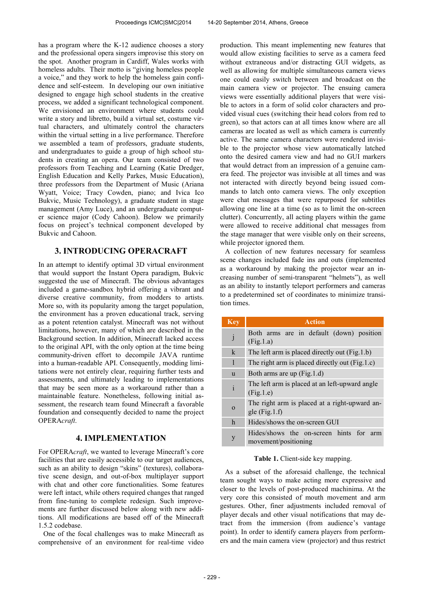has a program where the K-12 audience chooses a story and the professional opera singers improvise this story on the spot. Another program in Cardiff, Wales works with homeless adults. Their motto is "giving homeless people a voice," and they work to help the homeless gain confidence and self-esteem. In developing our own initiative designed to engage high school students in the creative process, we added a significant technological component. We envisioned an environment where students could write a story and libretto, build a virtual set, costume virtual characters, and ultimately control the characters within the virtual setting in a live performance. Therefore we assembled a team of professors, graduate students, and undergraduates to guide a group of high school students in creating an opera. Our team consisted of two professors from Teaching and Learning (Katie Dredger, English Education and Kelly Parkes, Music Education), three professors from the Department of Music (Ariana Wyatt, Voice; Tracy Cowden, piano; and Ivica Ico Bukvic, Music Technology), a graduate student in stage management (Amy Luce), and an undergraduate computer science major (Cody Cahoon). Below we primarily focus on project's technical component developed by Bukvic and Cahoon.

# **3. INTRODUCING OPERACRAFT**

In an attempt to identify optimal 3D virtual environment that would support the Instant Opera paradigm, Bukvic suggested the use of Minecraft. The obvious advantages included a game-sandbox hybrid offering a vibrant and diverse creative community, from modders to artists. More so, with its popularity among the target population, the environment has a proven educational track, serving as a potent retention catalyst. Minecraft was not without limitations, however, many of which are described in the Background section. In addition, Minecraft lacked access to the original API, with the only option at the time being community-driven effort to decompile JAVA runtime into a human-readable API. Consequently, modding limitations were not entirely clear, requiring further tests and assessments, and ultimately leading to implementations that may be seen more as a workaround rather than a maintainable feature. Nonetheless, following initial assessment, the research team found Minecraft a favorable foundation and consequently decided to name the project OPERA*craft*.

#### **4. IMPLEMENTATION**

For OPERA*craft*, we wanted to leverage Minecraft's core facilities that are easily accessible to our target audiences, such as an ability to design "skins" (textures), collaborative scene design, and out-of-box multiplayer support with chat and other core functionalities. Some features were left intact, while others required changes that ranged from fine-tuning to complete redesign. Such improvements are further discussed below along with new additions. All modifications are based off of the Minecraft 1.5.2 codebase.

One of the focal challenges was to make Minecraft as comprehensive of an environment for real-time video production. This meant implementing new features that would allow existing facilities to serve as a camera feed without extraneous and/or distracting GUI widgets, as well as allowing for multiple simultaneous camera views one could easily switch between and broadcast on the main camera view or projector. The ensuing camera views were essentially additional players that were visible to actors in a form of solid color characters and provided visual cues (switching their head colors from red to green), so that actors can at all times know where are all cameras are located as well as which camera is currently active. The same camera characters were rendered invisible to the projector whose view automatically latched onto the desired camera view and had no GUI markers that would detract from an impression of a genuine camera feed. The projector was invisible at all times and was not interacted with directly beyond being issued commands to latch onto camera views. The only exception were chat messages that were repurposed for subtitles allowing one line at a time (so as to limit the on-screen clutter). Concurrently, all acting players within the game were allowed to receive additional chat messages from the stage manager that were visible only on their screens, while projector ignored them.

A collection of new features necessary for seamless scene changes included fade ins and outs (implemented as a workaround by making the projector wear an increasing number of semi-transparent "helmets"), as well as an ability to instantly teleport performers and cameras to a predetermined set of coordinates to minimize transition times.

| <b>Key</b>   | <b>Action</b>                                                         |  |
|--------------|-----------------------------------------------------------------------|--|
| j            | Both arms are in default (down) position<br>(Fig.1.a)                 |  |
| $\mathbf{k}$ | The left arm is placed directly out (Fig. 1.b)                        |  |
| 1            | The right arm is placed directly out (Fig.1.c)                        |  |
| u            | Both arms are up (Fig.1.d)                                            |  |
| $\mathbf{i}$ | The left arm is placed at an left-upward angle<br>(Fig.1.e)           |  |
| $\Omega$     | The right arm is placed at a right-upward an-<br>gle $(Fig.1.f)$      |  |
| h            | Hides/shows the on-screen GUI                                         |  |
| y            | Hides/shows the on-screen hints<br>for<br>arm<br>movement/positioning |  |

#### **Table 1.** Client-side key mapping.

As a subset of the aforesaid challenge, the technical team sought ways to make acting more expressive and closer to the levels of post-produced machinima. At the very core this consisted of mouth movement and arm gestures. Other, finer adjustments included removal of player decals and other visual notifications that may detract from the immersion (from audience's vantage point). In order to identify camera players from performers and the main camera view (projector) and thus restrict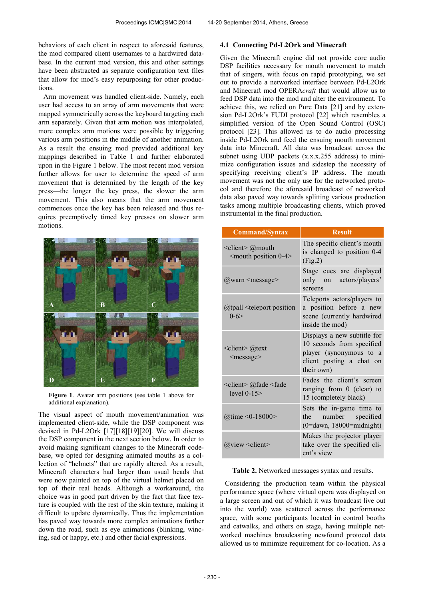behaviors of each client in respect to aforesaid features, the mod compared client usernames to a hardwired database. In the current mod version, this and other settings have been abstracted as separate configuration text files that allow for mod's easy repurposing for other productions.

Arm movement was handled client-side. Namely, each user had access to an array of arm movements that were mapped symmetrically across the keyboard targeting each arm separately. Given that arm motion was interpolated, more complex arm motions were possible by triggering various arm positions in the middle of another animation. As a result the ensuing mod provided additional key mappings described in Table 1 and further elaborated upon in the Figure 1 below. The most recent mod version further allows for user to determine the speed of arm movement that is determined by the length of the key press—the longer the key press, the slower the arm movement. This also means that the arm movement commences once the key has been released and thus requires preemptively timed key presses on slower arm motions.



**Figure 1**. Avatar arm positions (see table 1 above for additional explanation).

The visual aspect of mouth movement/animation was implemented client-side, while the DSP component was devised in Pd-L2Ork [17][18][19][20]. We will discuss the DSP component in the next section below. In order to avoid making significant changes to the Minecraft codebase, we opted for designing animated mouths as a collection of "helmets" that are rapidly altered. As a result, Minecraft characters had larger than usual heads that were now painted on top of the virtual helmet placed on top of their real heads. Although a workaround, the choice was in good part driven by the fact that face texture is coupled with the rest of the skin texture, making it difficult to update dynamically. Thus the implementation has paved way towards more complex animations further down the road, such as eye animations (blinking, wincing, sad or happy, etc.) and other facial expressions.

#### **4.1 Connecting Pd-L2Ork and Minecraft**

Given the Minecraft engine did not provide core audio DSP facilities necessary for mouth movement to match that of singers, with focus on rapid prototyping, we set out to provide a networked interface between Pd-L2Ork and Minecraft mod OPERA*craft* that would allow us to feed DSP data into the mod and alter the environment. To achieve this, we relied on Pure Data [21] and by extension Pd-L2Ork's FUDI protocol [22] which resembles a simplified version of the Open Sound Control (OSC) protocol [23]. This allowed us to do audio processing inside Pd-L2Ork and feed the ensuing mouth movement data into Minecraft. All data was broadcast across the subnet using UDP packets (x.x.x.255 address) to minimize configuration issues and sidestep the necessity of specifying receiving client's IP address. The mouth movement was not the only use for the networked protocol and therefore the aforesaid broadcast of networked data also paved way towards splitting various production tasks among multiple broadcasting clients, which proved instrumental in the final production.

| <b>Command/Syntax</b>                                              | <b>Result</b>                                                                                                                 |
|--------------------------------------------------------------------|-------------------------------------------------------------------------------------------------------------------------------|
| <client> @mouth<br/><mouth 0-4="" position=""></mouth></client>    | The specific client's mouth<br>is changed to position 0-4<br>(Fig.2)                                                          |
| $(a)$ warn $\leq$ message $\geq$                                   | Stage cues are displayed<br>only on actors/players'<br>screens                                                                |
| $@$ tpall $\leq$ teleport position<br>$0 - 6$                      | Teleports actors/players to<br>a position before a new<br>scene (currently hardwired<br>inside the mod)                       |
| $\le$ client $\ge$ @text<br><message></message>                    | Displays a new subtitle for<br>10 seconds from specified<br>player (synonymous to a<br>client posting a chat on<br>their own) |
| <client> @fade <fade<br>level <math>0-15</math></fade<br></client> | Fades the client's screen<br>ranging from 0 (clear) to<br>15 (completely black)                                               |
| @time <0-18000>                                                    | Sets the in-game time to<br>the number specified<br>$(0=$ dawn, 18000=midnight)                                               |
| $@view \le client>$                                                | Makes the projector player<br>take over the specified cli-<br>ent's view                                                      |

#### **Table 2.** Networked messages syntax and results.

Considering the production team within the physical performance space (where virtual opera was displayed on a large screen and out of which it was broadcast live out into the world) was scattered across the performance space, with some participants located in control booths and catwalks, and others on stage, having multiple networked machines broadcasting newfound protocol data allowed us to minimize requirement for co-location. As a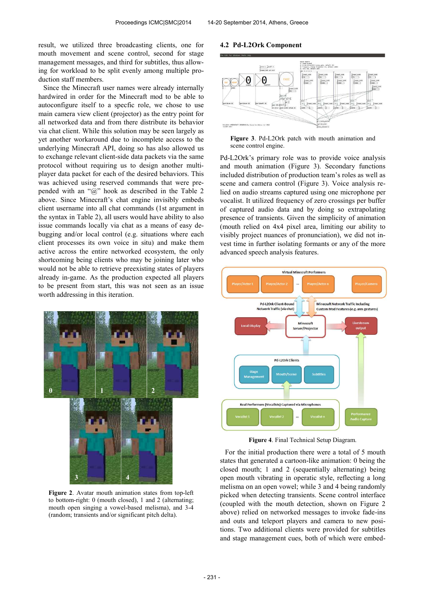result, we utilized three broadcasting clients, one for mouth movement and scene control, second for stage management messages, and third for subtitles, thus allowing for workload to be split evenly among multiple production staff members.

Since the Minecraft user names were already internally hardwired in order for the Minecraft mod to be able to autoconfigure itself to a specfic role, we chose to use main camera view client (projector) as the entry point for all networked data and from there distribute its behavior via chat client. While this solution may be seen largely as yet another workaround due to incomplete access to the underlying Minecraft API, doing so has also allowed us to exchange relevant client-side data packets via the same protocol without requiring us to design another multiplayer data packet for each of the desired behaviors. This was achieved using reserved commands that were prepended with an " $\hat{a}$ " hook as described in the Table 2 above. Since Minecraft's chat engine invisibly embeds client username into all chat commands (1st argument in the syntax in Table 2), all users would have ability to also issue commands locally via chat as a means of easy debugging and/or local control (e.g. situations where each client processes its own voice in situ) and make them active across the entire networked ecosystem, the only shortcoming being clients who may be joining later who would not be able to retrieve preexisting states of players already in-game. As the production expected all players to be present from start, this was not seen as an issue worth addressing in this iteration.



**Figure 2**. Avatar mouth animation states from top-left to bottom-right: 0 (mouth closed), 1 and 2 (alternating; mouth open singing a vowel-based melisma), and 3-4 (random; transients and/or significant pitch delta).

#### **4.2 Pd-L2Ork Component**





Pd-L2Ork's primary role was to provide voice analysis and mouth animation (Figure 3). Secondary functions included distribution of production team's roles as well as scene and camera control (Figure 3). Voice analysis relied on audio streams captured using one microphone per vocalist. It utilized frequency of zero crossings per buffer of captured audio data and by doing so extrapolating presence of transients. Given the simplicity of animation (mouth relied on 4x4 pixel area, limiting our ability to visibly project nuances of pronunciation), we did not invest time in further isolating formants or any of the more advanced speech analysis features.



**Figure 4**. Final Technical Setup Diagram.

For the initial production there were a total of 5 mouth states that generated a cartoon-like animation: 0 being the closed mouth; 1 and 2 (sequentially alternating) being open mouth vibrating in operatic style, reflecting a long melisma on an open vowel; while 3 and 4 being randomly picked when detecting transients. Scene control interface (coupled with the mouth detection, shown on Figure 2 above) relied on networked messages to invoke fade-ins and outs and teleport players and camera to new positions. Two additional clients were provided for subtitles and stage management cues, both of which were embed-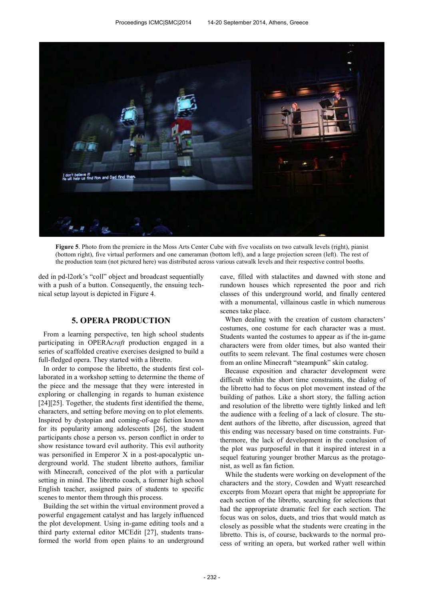

**Figure 5**. Photo from the premiere in the Moss Arts Center Cube with five vocalists on two catwalk levels (right), pianist (bottom right), five virtual performers and one cameraman (bottom left), and a large projection screen (left). The rest of the production team (not pictured here) was distributed across various catwalk levels and their respective control booths.

ded in pd-l2ork's "coll" object and broadcast sequentially with a push of a button. Consequently, the ensuing technical setup layout is depicted in Figure 4.

## **5. OPERA PRODUCTION**

From a learning perspective, ten high school students participating in OPERA*craft* production engaged in a series of scaffolded creative exercises designed to build a full-fledged opera. They started with a libretto.

In order to compose the libretto, the students first collaborated in a workshop setting to determine the theme of the piece and the message that they were interested in exploring or challenging in regards to human existence [24][25]. Together, the students first identified the theme, characters, and setting before moving on to plot elements. Inspired by dystopian and coming-of-age fiction known for its popularity among adolescents [26], the student participants chose a person vs. person conflict in order to show resistance toward evil authority. This evil authority was personified in Emperor X in a post-apocalyptic underground world. The student libretto authors, familiar with Minecraft, conceived of the plot with a particular setting in mind. The libretto coach, a former high school English teacher, assigned pairs of students to specific scenes to mentor them through this process.

Building the set within the virtual environment proved a powerful engagement catalyst and has largely influenced the plot development. Using in-game editing tools and a third party external editor MCEdit [27], students transformed the world from open plains to an underground cave, filled with stalactites and dawned with stone and rundown houses which represented the poor and rich classes of this underground world, and finally centered with a monumental, villainous castle in which numerous scenes take place.

When dealing with the creation of custom characters' costumes, one costume for each character was a must. Students wanted the costumes to appear as if the in-game characters were from older times, but also wanted their outfits to seem relevant. The final costumes were chosen from an online Minecraft "steampunk" skin catalog.

Because exposition and character development were difficult within the short time constraints, the dialog of the libretto had to focus on plot movement instead of the building of pathos. Like a short story, the falling action and resolution of the libretto were tightly linked and left the audience with a feeling of a lack of closure. The student authors of the libretto, after discussion, agreed that this ending was necessary based on time constraints. Furthermore, the lack of development in the conclusion of the plot was purposeful in that it inspired interest in a sequel featuring younger brother Marcus as the protagonist, as well as fan fiction.

While the students were working on development of the characters and the story, Cowden and Wyatt researched excerpts from Mozart opera that might be appropriate for each section of the libretto, searching for selections that had the appropriate dramatic feel for each section. The focus was on solos, duets, and trios that would match as closely as possible what the students were creating in the libretto. This is, of course, backwards to the normal process of writing an opera, but worked rather well within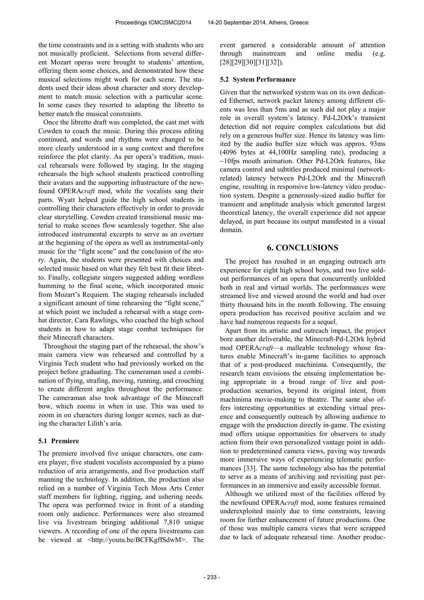the time constraints and in a setting with students who are not musically proficient. Selections from several different Mozart operas were brought to students' attention, offering them some choices, and demonstrated how these musical selections might work for each scene. The students used their ideas about character and story development to match music selection with a particular scene. In some cases they resorted to adapting the libretto to better match the musical constraints.

Once the libretto draft was completed, the cast met with Cowden to coach the music. During this process editing continued, and words and rhythms were changed to be more clearly understood in a sung context and therefore reinforce the plot clarity. As per opera's tradition, musical rehearsals were followed by staging. In the staging rehearsals the high school students practiced controlling their avatars and the supporting infrastructure of the newfound OPERA*craft* mod, while the vocalists sang their parts. Wyatt helped guide the high school students in controlling their characters effectively in order to provide clear storytelling. Cowden created transitional music material to make scenes flow seamlessly together. She also introduced instrumental excerpts to serve as an overture at the beginning of the opera as well as instrumental-only music for the "fight scene" and the conclusion of the story. Again, the students were presented with choices and selected music based on what they felt best fit their libretto. Finally, collegiate singers suggested adding wordless humming to the final scene, which incorporated music from Mozart's Requiem. The staging rehearsals included a significant amount of time rehearsing the "fight scene," at which point we included a rehearsal with a stage combat director, Cara Rawlings, who coached the high school students in how to adapt stage combat techniques for their Minecraft characters.

Throughout the staging part of the rehearsal, the show's main camera view was rehearsed and controlled by a Virginia Tech student who had previously worked on the project before graduating. The cameraman used a combination of flying, strafing, moving, running, and crouching to create different angles throughout the performance. The cameraman also took advantage of the Minecraft bow, which zooms in when in use. This was used to zoom in on characters during longer scenes, such as during the character Lilith's aria.

## **5.1 Premiere**

The premiere involved five unique characters, one camera player, five student vocalists accompanied by a piano reduction of aria arrangements, and five production staff manning the technology. In addition, the production also relied on a number of Virginia Tech Moss Arts Center staff members for lighting, rigging, and ushering needs. The opera was performed twice in front of a standing room only audience. Performances were also streamed live via livestream bringing additional 7,810 unique viewers. A recording of one of the opera livestreams can be viewed at [<http://youtu.be/BCFKgffSdwM>](http://youtu.be/BCFKgffSdwM). The

event garnered a considerable amount of attention through mainstream and online media (e.g. [28][29][30][31][32]).

#### **5.2 System Performance**

Given that the networked system was on its own dedicated Ethernet, network packet latency among different clients was less than 5ms and as such did not play a major role in overall system's latency. Pd-L2Ork's transient detection did not require complex calculations but did rely on a generous buffer size. Hence its latency was limited by the audio buffer size which was approx. 93ms (4096 bytes at 44,100Hz sampling rate), producing a  $\sim$ 10fps mouth animation. Other Pd-L2Ork features, like camera control and subtitles produced minimal (networkrelated) latency between Pd-L2Ork and the Minecraft engine, resulting in responsive low-latency video production system. Despite a generously-sized audio buffer for transient and amplitude analysis which generated largest theoretical latency, the overall experience did not appear delayed, in part because its output manifested in a visual domain.

## **6. CONCLUSIONS**

The project has resulted in an engaging outreach arts experience for eight high school boys, and two live soldout performances of an opera that concurrently unfolded both in real and virtual worlds. The performances were streamed live and viewed around the world and had over thirty thousand hits in the month following. The ensuing opera production has received positive acclaim and we have had numerous requests for a sequel.

Apart from its artistic and outreach impact, the project bore another deliverable, the Minecraft-Pd-L2Ork hybrid mod OPERA*craft*—a malleable technology whose features enable Minecraft's in-game facilities to approach that of a post-produced machinima. Consequently, the research team envisions the ensuing implementation being appropriate in a broad range of live and postproduction scenarios, beyond its original intent, from machinima movie-making to theatre. The same also offers interesting opportunities at extending virtual presence and consequently outreach by allowing audience to engage with the production directly in-game. The existing mod offers unique opportunities for observers to study action from their own personalized vantage point in addition to predetermined camera views, paving way towards more immersive ways of experiencing telematic performances [33]. The same technology also has the potential to serve as a means of archiving and revisiting past performances in an immersive and easily accessible format.

Although we utilized most of the facilities offered by the newfound OPERA*craft* mod, some features remained underexploited mainly due to time constraints, leaving room for further enhancement of future productions. One of those was multiple camera views that were scrapped due to lack of adequate rehearsal time. Another produc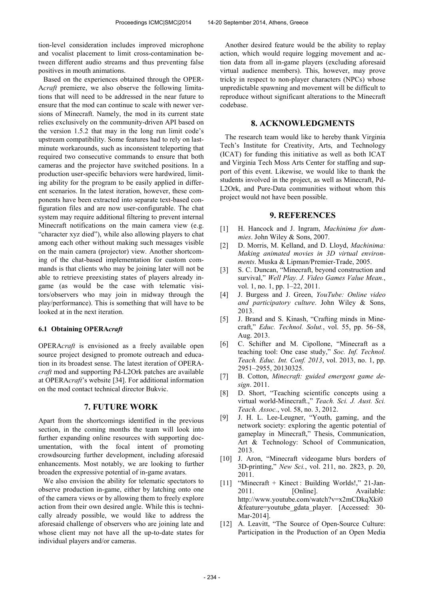tion-level consideration includes improved microphone and vocalist placement to limit cross-contamination between different audio streams and thus preventing false positives in mouth animations.

Based on the experiences obtained through the OPER-A*craft* premiere, we also observe the following limitations that will need to be addressed in the near future to ensure that the mod can continue to scale with newer versions of Minecraft. Namely, the mod in its current state relies exclusively on the community-driven API based on the version 1.5.2 that may in the long run limit code's upstream compatibility. Some features had to rely on lastminute workarounds, such as inconsistent teleporting that required two consecutive commands to ensure that both cameras and the projector have switched positions. In a production user-specific behaviors were hardwired, limiting ability for the program to be easily applied in different scenarios. In the latest iteration, however, these components have been extracted into separate text-based configuration files and are now user-configurable. The chat system may require additional filtering to prevent internal Minecraft notifications on the main camera view (e.g. "character xyz died"), while also allowing players to chat among each other without making such messages visible on the main camera (projector) view. Another shortcoming of the chat-based implementation for custom commands is that clients who may be joining later will not be able to retrieve preexisting states of players already ingame (as would be the case with telematic visitors/observers who may join in midway through the play/performance). This is something that will have to be looked at in the next iteration.

#### **6.1 Obtaining OPERA***craft*

OPERA*craft* is envisioned as a freely available open source project designed to promote outreach and education in its broadest sense. The latest iteration of OPERA*craft* mod and supporting Pd-L2Ork patches are available at OPERA*craft*'s website [34]. For additional information on the mod contact technical director Bukvic.

## **7. FUTURE WORK**

Apart from the shortcomings identified in the previous section, in the coming months the team will look into further expanding online resources with supporting documentation, with the focal intent of promoting crowdsourcing further development, including aforesaid enhancements. Most notably, we are looking to further broaden the expressive potential of in-game avatars.

We also envision the ability for telematic spectators to observe production in-game, either by latching onto one of the camera views or by allowing them to freely explore action from their own desired angle. While this is technically already possible, we would like to address the aforesaid challenge of observers who are joining late and whose client may not have all the up-to-date states for individual players and/or cameras.

Another desired feature would be the ability to replay action, which would require logging movement and action data from all in-game players (excluding aforesaid virtual audience members). This, however, may prove tricky in respect to non-player characters (NPCs) whose unpredictable spawning and movement will be difficult to reproduce without significant alterations to the Minecraft codebase.

## **8. ACKNOWLEDGMENTS**

The research team would like to hereby thank Virginia Tech's Institute for Creativity, Arts, and Technology (ICAT) for funding this initiative as well as both ICAT and Virginia Tech Moss Arts Center for staffing and support of this event. Likewise, we would like to thank the students involved in the project, as well as Minecraft, Pd-L2Ork, and Pure-Data communities without whom this project would not have been possible.

## **9. REFERENCES**

- [1] H. Hancock and J. Ingram, *Machinima for dummies*. John Wiley & Sons, 2007.
- [2] D. Morris, M. Kelland, and D. Lloyd, *Machinima: Making animated movies in 3D virtual environments*. Muska & Lipman/Premier-Trade, 2005.
- [3] S. C. Duncan, "Minecraft, beyond construction and survival," *Well Play. J. Video Games Value Mean.*, vol. 1, no. 1, pp. 1–22, 2011.
- [4] J. Burgess and J. Green, *YouTube: Online video and participatory culture*. John Wiley & Sons, 2013.
- [5] J. Brand and S. Kinash, "Crafting minds in Minecraft," *Educ. Technol. Solut.*, vol. 55, pp. 56–58, Aug. 2013.
- [6] C. Schifter and M. Cipollone, "Minecraft as a teaching tool: One case study," *Soc. Inf. Technol. Teach. Educ. Int. Conf. 2013*, vol. 2013, no. 1, pp. 2951–2955, 20130325.
- [7] B. Cotton, *Minecraft: guided emergent game design*. 2011.
- [8] D. Short, "Teaching scientific concepts using a virtual world-Minecraft.," *Teach. Sci. J. Aust. Sci. Teach. Assoc.*, vol. 58, no. 3, 2012.
- [9] J. H. L. Lee-Leugner, "Youth, gaming, and the network society: exploring the agentic potential of gameplay in Minecraft," Thesis, Communication, Art & Technology: School of Communication, 2013.
- [10] J. Aron, "Minecraft videogame blurs borders of 3D-printing," *New Sci.*, vol. 211, no. 2823, p. 20, 2011.
- [11] "Minecraft + Kinect: Building Worlds!," 21-Jan-2011. [Online]. Available: http://www.youtube.com/watch?v=x2mCDkqXki0 &feature=youtube\_gdata\_player. [Accessed: 30- Mar-2014].
- [12] A. Leavitt, "The Source of Open-Source Culture: Participation in the Production of an Open Media